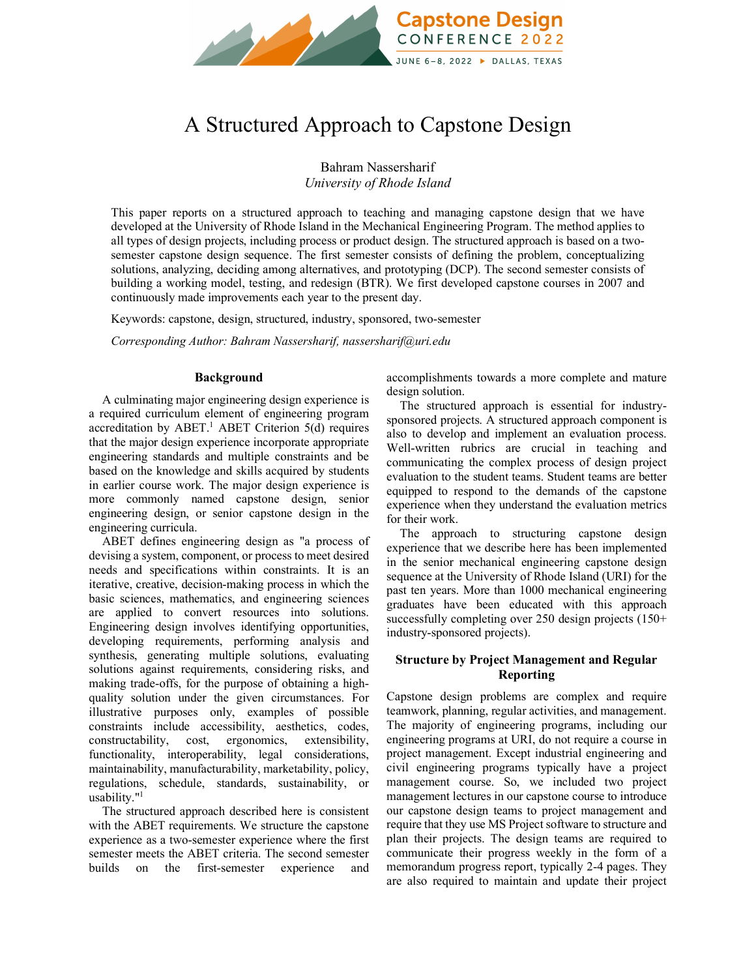

# A Structured Approach to Capstone Design

Bahram Nassersharif *University of Rhode Island*

This paper reports on a structured approach to teaching and managing capstone design that we have developed at the University of Rhode Island in the Mechanical Engineering Program. The method applies to all types of design projects, including process or product design. The structured approach is based on a twosemester capstone design sequence. The first semester consists of defining the problem, conceptualizing solutions, analyzing, deciding among alternatives, and prototyping (DCP). The second semester consists of building a working model, testing, and redesign (BTR). We first developed capstone courses in 2007 and continuously made improvements each year to the present day.

Keywords: capstone, design, structured, industry, sponsored, two-semester

*Corresponding Author: Bahram Nassersharif, nassersharif@uri.edu*

## **Background**

A culminating major engineering design experience is a required curriculum element of engineering program accreditation by ABET.<sup>1</sup> ABET Criterion  $5(d)$  requires that the major design experience incorporate appropriate engineering standards and multiple constraints and be based on the knowledge and skills acquired by students in earlier course work. The major design experience is more commonly named capstone design, senior engineering design, or senior capstone design in the engineering curricula.

ABET defines engineering design as "a process of devising a system, component, or process to meet desired needs and specifications within constraints. It is an iterative, creative, decision-making process in which the basic sciences, mathematics, and engineering sciences are applied to convert resources into solutions. Engineering design involves identifying opportunities, developing requirements, performing analysis and synthesis, generating multiple solutions, evaluating solutions against requirements, considering risks, and making trade-offs, for the purpose of obtaining a highquality solution under the given circumstances. For illustrative purposes only, examples of possible constraints include accessibility, aesthetics, codes, constructability, cost, ergonomics, extensibility, functionality, interoperability, legal considerations, maintainability, manufacturability, marketability, policy, regulations, schedule, standards, sustainability, or usability."1

The structured approach described here is consistent with the ABET requirements. We structure the capstone experience as a two-semester experience where the first semester meets the ABET criteria. The second semester builds on the first-semester experience and accomplishments towards a more complete and mature design solution.

The structured approach is essential for industrysponsored projects. A structured approach component is also to develop and implement an evaluation process. Well-written rubrics are crucial in teaching and communicating the complex process of design project evaluation to the student teams. Student teams are better equipped to respond to the demands of the capstone experience when they understand the evaluation metrics for their work.

The approach to structuring capstone design experience that we describe here has been implemented in the senior mechanical engineering capstone design sequence at the University of Rhode Island (URI) for the past ten years. More than 1000 mechanical engineering graduates have been educated with this approach successfully completing over 250 design projects (150+ industry-sponsored projects).

# **Structure by Project Management and Regular Reporting**

Capstone design problems are complex and require teamwork, planning, regular activities, and management. The majority of engineering programs, including our engineering programs at URI, do not require a course in project management. Except industrial engineering and civil engineering programs typically have a project management course. So, we included two project management lectures in our capstone course to introduce our capstone design teams to project management and require that they use MS Project software to structure and plan their projects. The design teams are required to communicate their progress weekly in the form of a memorandum progress report, typically 2-4 pages. They are also required to maintain and update their project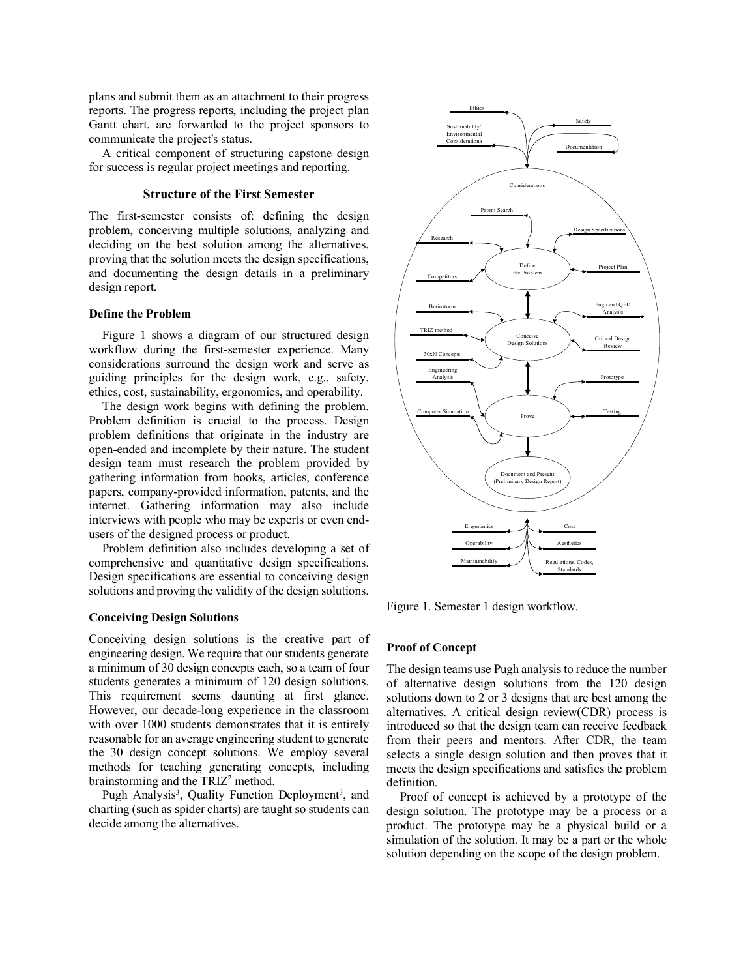plans and submit them as an attachment to their progress reports. The progress reports, including the project plan Gantt chart, are forwarded to the project sponsors to communicate the project's status.

A critical component of structuring capstone design for success is regular project meetings and reporting.

## **Structure of the First Semester**

The first-semester consists of: defining the design problem, conceiving multiple solutions, analyzing and deciding on the best solution among the alternatives, proving that the solution meets the design specifications, and documenting the design details in a preliminary design report.

## **Define the Problem**

Figure 1 shows a diagram of our structured design workflow during the first-semester experience. Many considerations surround the design work and serve as guiding principles for the design work, e.g., safety, ethics, cost, sustainability, ergonomics, and operability.

The design work begins with defining the problem. Problem definition is crucial to the process. Design problem definitions that originate in the industry are open-ended and incomplete by their nature. The student design team must research the problem provided by gathering information from books, articles, conference papers, company-provided information, patents, and the internet. Gathering information may also include interviews with people who may be experts or even endusers of the designed process or product.

Problem definition also includes developing a set of comprehensive and quantitative design specifications. Design specifications are essential to conceiving design solutions and proving the validity of the design solutions.

## **Conceiving Design Solutions**

Conceiving design solutions is the creative part of engineering design. We require that our students generate a minimum of 30 design concepts each, so a team of four students generates a minimum of 120 design solutions. This requirement seems daunting at first glance. However, our decade-long experience in the classroom with over 1000 students demonstrates that it is entirely reasonable for an average engineering student to generate the 30 design concept solutions. We employ several methods for teaching generating concepts, including brainstorming and the TRIZ<sup>2</sup> method.

Pugh Analysis<sup>3</sup>, Quality Function Deployment<sup>3</sup>, and charting (such as spider charts) are taught so students can decide among the alternatives.



Figure 1. Semester 1 design workflow.

## **Proof of Concept**

The design teams use Pugh analysis to reduce the number of alternative design solutions from the 120 design solutions down to 2 or 3 designs that are best among the alternatives. A critical design review(CDR) process is introduced so that the design team can receive feedback from their peers and mentors. After CDR, the team selects a single design solution and then proves that it meets the design specifications and satisfies the problem definition.

Proof of concept is achieved by a prototype of the design solution. The prototype may be a process or a product. The prototype may be a physical build or a simulation of the solution. It may be a part or the whole solution depending on the scope of the design problem.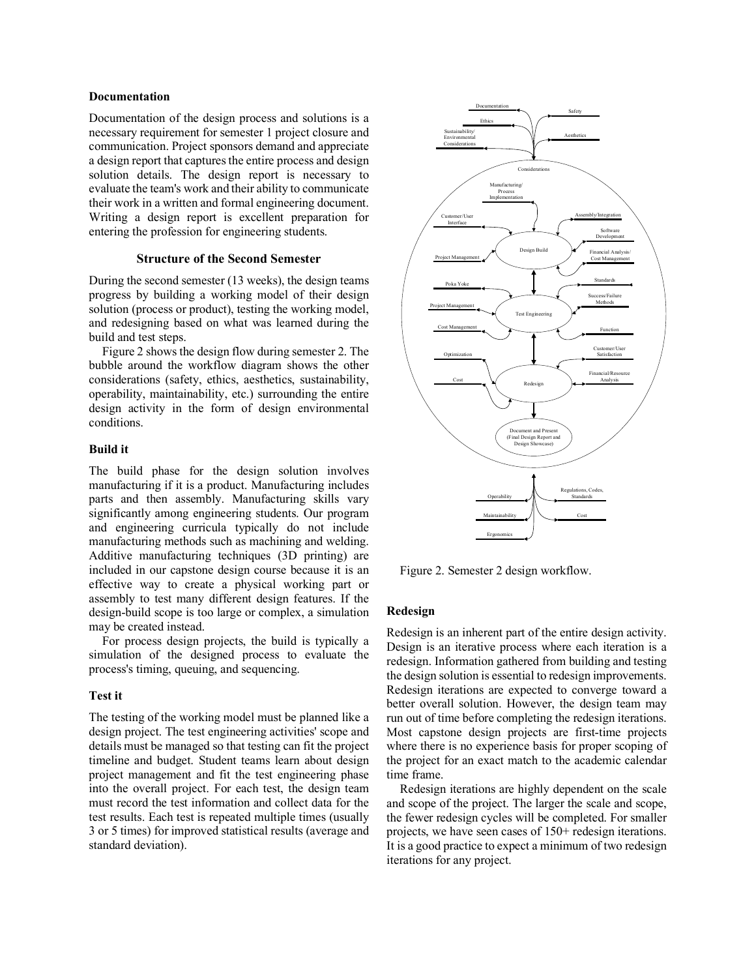### **Documentation**

Documentation of the design process and solutions is a necessary requirement for semester 1 project closure and communication. Project sponsors demand and appreciate a design report that captures the entire process and design solution details. The design report is necessary to evaluate the team's work and their ability to communicate their work in a written and formal engineering document. Writing a design report is excellent preparation for entering the profession for engineering students.

## **Structure of the Second Semester**

During the second semester (13 weeks), the design teams progress by building a working model of their design solution (process or product), testing the working model, and redesigning based on what was learned during the build and test steps.

Figure 2 shows the design flow during semester 2. The bubble around the workflow diagram shows the other considerations (safety, ethics, aesthetics, sustainability, operability, maintainability, etc.) surrounding the entire design activity in the form of design environmental conditions.

#### **Build it**

The build phase for the design solution involves manufacturing if it is a product. Manufacturing includes parts and then assembly. Manufacturing skills vary significantly among engineering students. Our program and engineering curricula typically do not include manufacturing methods such as machining and welding. Additive manufacturing techniques (3D printing) are included in our capstone design course because it is an effective way to create a physical working part or assembly to test many different design features. If the design-build scope is too large or complex, a simulation may be created instead.

For process design projects, the build is typically a simulation of the designed process to evaluate the process's timing, queuing, and sequencing.

## **Test it**

The testing of the working model must be planned like a design project. The test engineering activities' scope and details must be managed so that testing can fit the project timeline and budget. Student teams learn about design project management and fit the test engineering phase into the overall project. For each test, the design team must record the test information and collect data for the test results. Each test is repeated multiple times (usually 3 or 5 times) for improved statistical results (average and standard deviation).



Figure 2. Semester 2 design workflow.

## **Redesign**

Redesign is an inherent part of the entire design activity. Design is an iterative process where each iteration is a redesign. Information gathered from building and testing the design solution is essential to redesign improvements. Redesign iterations are expected to converge toward a better overall solution. However, the design team may run out of time before completing the redesign iterations. Most capstone design projects are first-time projects where there is no experience basis for proper scoping of the project for an exact match to the academic calendar time frame.

Redesign iterations are highly dependent on the scale and scope of the project. The larger the scale and scope, the fewer redesign cycles will be completed. For smaller projects, we have seen cases of 150+ redesign iterations. It is a good practice to expect a minimum of two redesign iterations for any project.